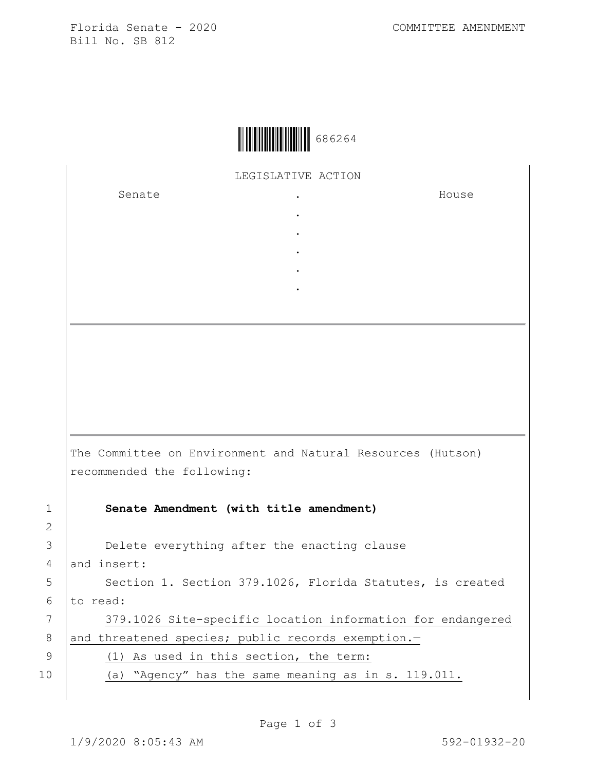Florida Senate - 2020 COMMITTEE AMENDMENT Bill No. SB 812



LEGISLATIVE ACTION

. . . . .

Senate .

House

The Committee on Environment and Natural Resources (Hutson) recommended the following: 1 **Senate Amendment (with title amendment)** 3 Delete everything after the enacting clause 4 and insert: 5 | Section 1. Section 379.1026, Florida Statutes, is created  $6$  to read:

7 | 379.1026 Site-specific location information for endangered 8 and threatened species; public records exemption.-9 (1) As used in this section, the term:

10 (a) "Agency" has the same meaning as in s. 119.011.

2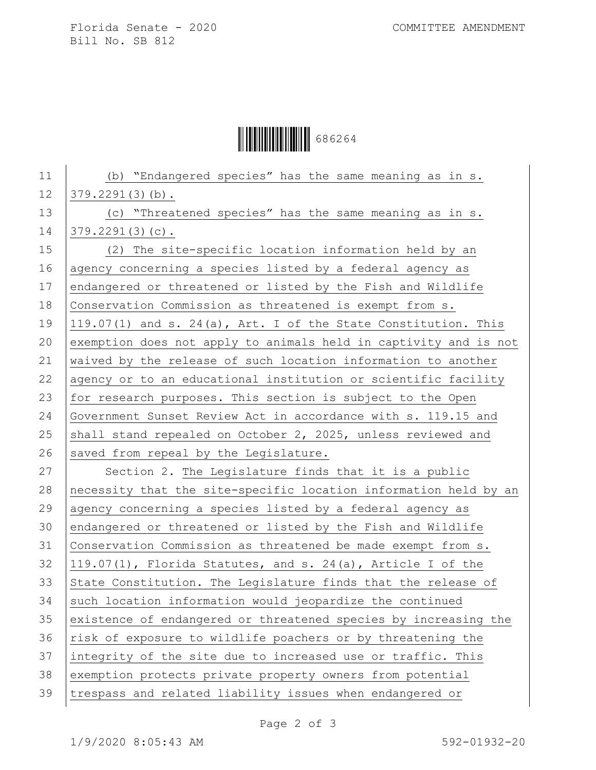Florida Senate - 2020 COMMITTEE AMENDMENT Bill No. SB 812

 $\begin{array}{|c|c|c|c|c|}\hline \multicolumn{1}{|c|}{\textbf{1}} & \multicolumn{1}{|c|}{\textbf{1}} & \multicolumn{1}{|c|}{\textbf{1}} & \multicolumn{1}{|c|}{\textbf{1}} & \multicolumn{1}{|c|}{\textbf{1}} & \multicolumn{1}{|c|}{\textbf{1}} & \multicolumn{1}{|c|}{\textbf{1}} & \multicolumn{1}{|c|}{\textbf{1}} & \multicolumn{1}{|c|}{\textbf{1}} & \multicolumn{1}{|c|}{\textbf{1}} & \multicolumn{1}{|c|}{\textbf{1}} & \multic$ 

| 11 | (b) "Endangered species" has the same meaning as in s.           |
|----|------------------------------------------------------------------|
| 12 | $379.2291(3)(b)$ .                                               |
| 13 | (c) "Threatened species" has the same meaning as in s.           |
| 14 | $379.2291(3)(c)$ .                                               |
| 15 | (2) The site-specific location information held by an            |
| 16 | agency concerning a species listed by a federal agency as        |
| 17 | endangered or threatened or listed by the Fish and Wildlife      |
| 18 | Conservation Commission as threatened is exempt from s.          |
| 19 | 119.07(1) and s. 24(a), Art. I of the State Constitution. This   |
| 20 | exemption does not apply to animals held in captivity and is not |
| 21 | waived by the release of such location information to another    |
| 22 | agency or to an educational institution or scientific facility   |
| 23 | for research purposes. This section is subject to the Open       |
| 24 | Government Sunset Review Act in accordance with s. 119.15 and    |
| 25 | shall stand repealed on October 2, 2025, unless reviewed and     |
| 26 | saved from repeal by the Legislature.                            |
| 27 | Section 2. The Legislature finds that it is a public             |
| 28 | necessity that the site-specific location information held by an |
| 29 | agency concerning a species listed by a federal agency as        |
| 30 | endangered or threatened or listed by the Fish and Wildlife      |
| 31 | Conservation Commission as threatened be made exempt from s.     |
| 32 | 119.07(1), Florida Statutes, and s. 24(a), Article I of the      |
| 33 | State Constitution. The Legislature finds that the release of    |
| 34 | such location information would jeopardize the continued         |
| 35 | existence of endangered or threatened species by increasing the  |
| 36 | risk of exposure to wildlife poachers or by threatening the      |
| 37 | integrity of the site due to increased use or traffic. This      |
| 38 | exemption protects private property owners from potential        |
| 39 | trespass and related liability issues when endangered or         |